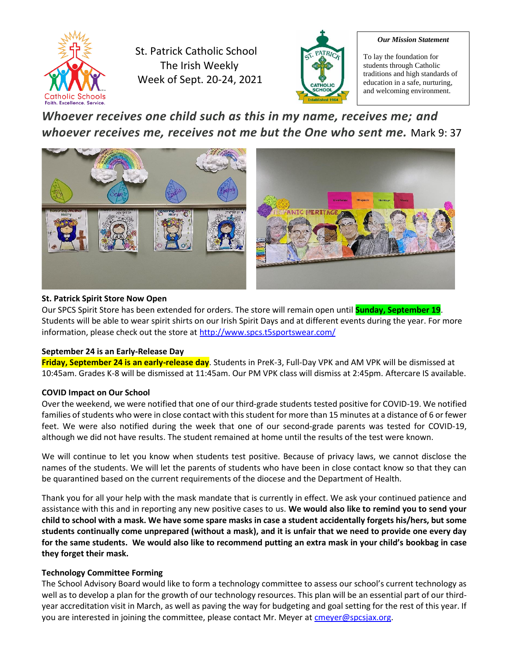

St. Patrick Catholic School The Irish Weekly Week of Sept. 20-24, 2021



#### *Our Mission Statement*

To lay the foundation for students through Catholic traditions and high standards of education in a safe, nurturing, and welcoming environment.

# *Whoever receives one child such as this in my name, receives me; and whoever receives me, receives not me but the One who sent me.* Mark 9: 37



# **St. Patrick Spirit Store Now Open**

Our SPCS Spirit Store has been extended for orders. The store will remain open until **Sunday, September 19**. Students will be able to wear spirit shirts on our Irish Spirit Days and at different events during the year. For more information, please check out the store at<http://www.spcs.t5sportswear.com/>

# **September 24 is an Early-Release Day**

**Friday, September 24 is an early-release day**. Students in PreK-3, Full-Day VPK and AM VPK will be dismissed at 10:45am. Grades K-8 will be dismissed at 11:45am. Our PM VPK class will dismiss at 2:45pm. Aftercare IS available.

# **COVID Impact on Our School**

Over the weekend, we were notified that one of our third-grade students tested positive for COVID-19. We notified families of students who were in close contact with this student for more than 15 minutes at a distance of 6 or fewer feet. We were also notified during the week that one of our second-grade parents was tested for COVID-19, although we did not have results. The student remained at home until the results of the test were known.

We will continue to let you know when students test positive. Because of privacy laws, we cannot disclose the names of the students. We will let the parents of students who have been in close contact know so that they can be quarantined based on the current requirements of the diocese and the Department of Health.

Thank you for all your help with the mask mandate that is currently in effect. We ask your continued patience and assistance with this and in reporting any new positive cases to us. **We would also like to remind you to send your child to school with a mask. We have some spare masks in case a student accidentally forgets his/hers, but some students continually come unprepared (without a mask), and it is unfair that we need to provide one every day for the same students. We would also like to recommend putting an extra mask in your child's bookbag in case they forget their mask.**

# **Technology Committee Forming**

The School Advisory Board would like to form a technology committee to assess our school's current technology as well as to develop a plan for the growth of our technology resources. This plan will be an essential part of our thirdyear accreditation visit in March, as well as paving the way for budgeting and goal setting for the rest of this year. If you are interested in joining the committee, please contact Mr. Meyer at [cmeyer@spcsjax.org.](mailto:cmeyer@spcsjax.org)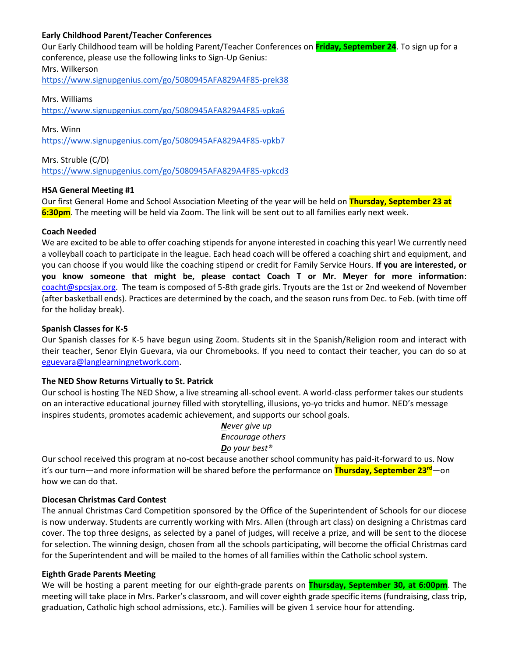#### **Early Childhood Parent/Teacher Conferences**

Our Early Childhood team will be holding Parent/Teacher Conferences on **Friday, September 24**. To sign up for a conference, please use the following links to Sign-Up Genius: Mrs. Wilkerson

<https://www.signupgenius.com/go/5080945AFA829A4F85-prek38>

#### Mrs. Williams

<https://www.signupgenius.com/go/5080945AFA829A4F85-vpka6>

Mrs. Winn <https://www.signupgenius.com/go/5080945AFA829A4F85-vpkb7>

Mrs. Struble (C/D) <https://www.signupgenius.com/go/5080945AFA829A4F85-vpkcd3>

#### **HSA General Meeting #1**

Our first General Home and School Association Meeting of the year will be held on **Thursday, September 23 at 6:30pm**. The meeting will be held via Zoom. The link will be sent out to all families early next week.

#### **Coach Needed**

We are excited to be able to offer coaching stipends for anyone interested in coaching this year! We currently need a volleyball coach to participate in the league. Each head coach will be offered a coaching shirt and equipment, and you can choose if you would like the coaching stipend or credit for Family Service Hours. **If you are interested, or you know someone that might be, please contact Coach T or Mr. Meyer for more information**: [coacht@spcsjax.org.](mailto:coacht@spcsjax.org) The team is composed of 5-8th grade girls. Tryouts are the 1st or 2nd weekend of November (after basketball ends). Practices are determined by the coach, and the season runs from Dec. to Feb. (with time off for the holiday break).

#### **Spanish Classes for K-5**

Our Spanish classes for K-5 have begun using Zoom. Students sit in the Spanish/Religion room and interact with their teacher, Senor Elyin Guevara, via our Chromebooks. If you need to contact their teacher, you can do so at [eguevara@langlearningnetwork.com.](mailto:eguevara@langlearningnetwork.com)

#### **The NED Show Returns Virtually to St. Patrick**

Our school is hosting The NED Show, a live streaming all-school event. A world-class performer takes our students on an interactive educational journey filled with storytelling, illusions, yo-yo tricks and humor. NED's message inspires students, promotes academic achievement, and supports our school goals.

> *Never give up Encourage others Do your best®*

Our school received this program at no-cost because another school community has paid-it-forward to us. Now it's our turn—and more information will be shared before the performance on **Thursday, September 23rd**—on how we can do that.

#### **Diocesan Christmas Card Contest**

The annual Christmas Card Competition sponsored by the Office of the Superintendent of Schools for our diocese is now underway. Students are currently working with Mrs. Allen (through art class) on designing a Christmas card cover. The top three designs, as selected by a panel of judges, will receive a prize, and will be sent to the diocese for selection. The winning design, chosen from all the schools participating, will become the official Christmas card for the Superintendent and will be mailed to the homes of all families within the Catholic school system.

#### **Eighth Grade Parents Meeting**

We will be hosting a parent meeting for our eighth-grade parents on **Thursday, September 30, at 6:00pm**. The meeting will take place in Mrs. Parker's classroom, and will cover eighth grade specific items (fundraising, class trip, graduation, Catholic high school admissions, etc.). Families will be given 1 service hour for attending.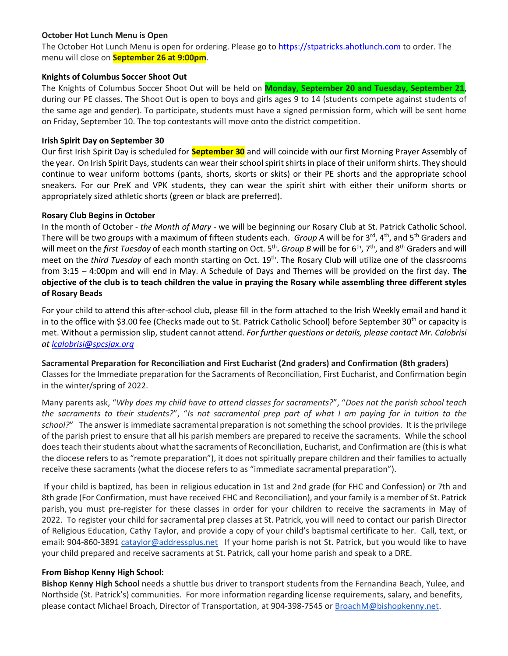# **October Hot Lunch Menu is Open**

The October Hot Lunch Menu is open for ordering. Please go t[o https://stpatricks.ahotlunch.com](https://stpatricks.ahotlunch.com/) to order. The menu will close on **September 26 at 9:00pm**.

### **Knights of Columbus Soccer Shoot Out**

The Knights of Columbus Soccer Shoot Out will be held on **Monday, September 20 and Tuesday, September 21**, during our PE classes. The Shoot Out is open to boys and girls ages 9 to 14 (students compete against students of the same age and gender). To participate, students must have a signed permission form, which will be sent home on Friday, September 10. The top contestants will move onto the district competition.

### **Irish Spirit Day on September 30**

Our first Irish Spirit Day is scheduled for **September 30** and will coincide with our first Morning Prayer Assembly of the year. On Irish Spirit Days, students can wear their school spirit shirts in place of their uniform shirts. They should continue to wear uniform bottoms (pants, shorts, skorts or skits) or their PE shorts and the appropriate school sneakers. For our PreK and VPK students, they can wear the spirit shirt with either their uniform shorts or appropriately sized athletic shorts (green or black are preferred).

# **Rosary Club Begins in October**

In the month of October - *the Month of Mary* - we will be beginning our Rosary Club at St. Patrick Catholic School. There will be two groups with a maximum of fifteen students each. *Group A* will be for 3<sup>rd</sup>, 4<sup>th</sup>, and 5<sup>th</sup> Graders and will meet on the *first Tuesday* of each month starting on Oct. 5<sup>th</sup>. *Group B* will be for 6<sup>th</sup>, 7<sup>th</sup>, and 8<sup>th</sup> Graders and will meet on the *third Tuesday* of each month starting on Oct. 19<sup>th</sup>. The Rosary Club will utilize one of the classrooms from 3:15 – 4:00pm and will end in May. A Schedule of Days and Themes will be provided on the first day. **The objective of the club is to teach children the value in praying the Rosary while assembling three different styles of Rosary Beads**

For your child to attend this after-school club, please fill in the form attached to the Irish Weekly email and hand it in to the office with \$3.00 fee (Checks made out to St. Patrick Catholic School) before September 30<sup>th</sup> or capacity is met. Without a permission slip, student cannot attend. *For further questions or details, please contact Mr. Calobrisi at [lcalobrisi@spcsjax.org](mailto:lcalobrisi@spcsjax.org)*

**Sacramental Preparation for Reconciliation and First Eucharist (2nd graders) and Confirmation (8th graders)** Classes for the Immediate preparation for the Sacraments of Reconciliation, First Eucharist, and Confirmation begin in the winter/spring of 2022.

Many parents ask, "*Why does my child have to attend classes for sacraments?*", "*Does not the parish school teach the sacraments to their students?*", "*Is not sacramental prep part of what I am paying for in tuition to the school?*" The answer is immediate sacramental preparation is not something the school provides. It is the privilege of the parish priest to ensure that all his parish members are prepared to receive the sacraments. While the school does teach their students about what the sacraments of Reconciliation, Eucharist, and Confirmation are (this is what the diocese refers to as "remote preparation"), it does not spiritually prepare children and their families to actually receive these sacraments (what the diocese refers to as "immediate sacramental preparation").

If your child is baptized, has been in religious education in 1st and 2nd grade (for FHC and Confession) or 7th and 8th grade (For Confirmation, must have received FHC and Reconciliation), and your family is a member of St. Patrick parish, you must pre-register for these classes in order for your children to receive the sacraments in May of 2022. To register your child for sacramental prep classes at St. Patrick, you will need to contact our parish Director of Religious Education, Cathy Taylor, and provide a copy of your child's baptismal certificate to her. Call, text, or email: 904-860-3891 [cataylor@addressplus.net](mailto:cataylor@addressplus.net) If your home parish is not St. Patrick, but you would like to have your child prepared and receive sacraments at St. Patrick, call your home parish and speak to a DRE.

# **From Bishop Kenny High School:**

**Bishop Kenny High School** needs a shuttle bus driver to transport students from the Fernandina Beach, Yulee, and Northside (St. Patrick's) communities. For more information regarding license requirements, salary, and benefits, please contact Michael Broach, Director of Transportation, at 904-398-7545 or [BroachM@bishopkenny.net.](mailto:BroachM@bishopkenny.net)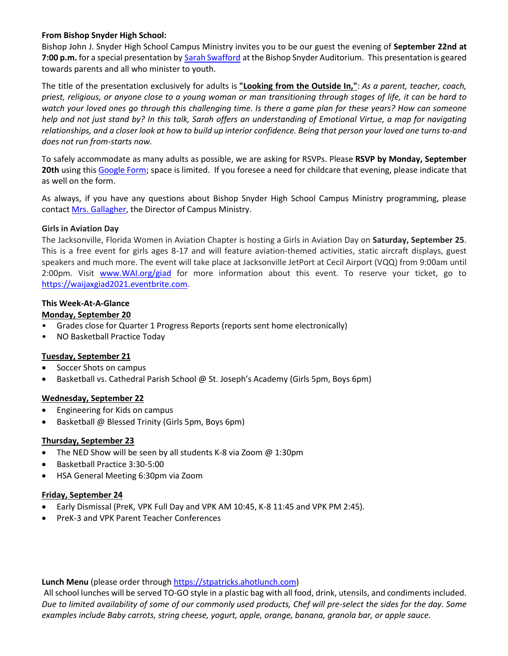# **From Bishop Snyder High School:**

Bishop John J. Snyder High School Campus Ministry invites you to be our guest the evening of **September 22nd at 7:00 p.m.** for a special presentation by [Sarah Swafford](http://r20.rs6.net/tn.jsp?f=001b-nfGnYUhkZyaDLT086hRtTbe14PQWboqmI3w7_QIbZpuV3t_Wg3lqMc0BxWxsiQTsQq2wQfGXFl-X7V4V1FHFAKUST6GicYQl16z4cNwJIL7MYFyn9VV6J0ELniO7vwo1UIgtwEpUCgwrzHGIzKQEOJPHDo5Uc9-yaj8pKJ3b4xzx2modgYDnCZhHtRoRoIC_9wTam5haJ0bYQYc0EEl0kGZ2ZnmLhM3Mu8huwhfv5WcQ2DUCom1zmvkphE7vmpz3OPwy015mfKO7L1NkDzAsA42xJnVOrQ1hp-7Pt8wgzAfUpV57kh2pmL1n7H8hfhA1Nx6g-R1GU3yWzwMUn-a5nSG2qPqhmFdNRDtAC42W2it3AwrWnaYK7dMd0h63sOimDHQ34ubvwLIG59XrtpONnk_PgGqK4bl-M8g26LLeAkajfEfvJqhoQkDTJ0Zc7GgXVesHaMbzeVdn5vY64mV-6tSh2F1WSC&c=WWlR2xcIpOHRG9K3sC8DKsDlwglgxPybGetVs9TyRov5k7dhwH3vRQ==&ch=kJmQHpi51ZWqJJsf8tlVrCbUmJlPcAvsFbZoMg4vI74PwB7OJ5sfqg==) at the Bishop Snyder Auditorium. This presentation is geared towards parents and all who minister to youth.

The title of the presentation exclusively for adults is **"Looking from the Outside In,"**: *As a parent, teacher, coach, priest, religious, or anyone close to a young woman or man transitioning through stages of life, it can be hard to watch your loved ones go through this challenging time. Is there a game plan for these years? How can someone help and not just stand by? In this talk, Sarah offers an understanding of Emotional Virtue, a map for navigating relationships, and a closer look at how to build up interior confidence. Being that person your loved one turns to-and does not run from-starts now.*

To safely accommodate as many adults as possible, we are asking for RSVPs. Please **RSVP by Monday, September 20th** using this [Google Form;](http://r20.rs6.net/tn.jsp?f=001b-nfGnYUhkZyaDLT086hRtTbe14PQWboqmI3w7_QIbZpuV3t_Wg3liynatELGACcPm43hKUXiwVDGewWWPsTjiZA92jQAfQ_xkxcw-Dua16dCIrTKFIqsXuP9-OqT-SYDtZUYY24cJgWTrr2IgInD195hU4JH6qlwcAfKh_rWnz_4xGWdymfrNM3FTongiFTFoJtCxSdFf8mh4dGDummLzGXzbkNV5F10J0LQrzujOKUFA28LdARjiZJujckDIDOOdHm2ia5ZBCAgdHAdfpqXjFhllo2_jW-9obwJ05mv3bRzZ5rmy1a2uAXC2WkrU1jfAyHCnGlPhxf0s_9px6cNmxH9P-Wess7n0AOp06049t56oWM4nrEJHKTx3l35pWJh5otU04StvnSkqySyVaVrz2jeuDnhd1N46tSfxIZAzcTLnErsPXB_DyHYghCSooE&c=WWlR2xcIpOHRG9K3sC8DKsDlwglgxPybGetVs9TyRov5k7dhwH3vRQ==&ch=kJmQHpi51ZWqJJsf8tlVrCbUmJlPcAvsFbZoMg4vI74PwB7OJ5sfqg==) space is limited. If you foresee a need for childcare that evening, please indicate that as well on the form.

As always, if you have any questions about Bishop Snyder High School Campus Ministry programming, please contact [Mrs. Gallagher,](mailto:joygallagher@bishopsnyder.org) the Director of Campus Ministry.

#### **Girls in Aviation Day**

The Jacksonville, Florida Women in Aviation Chapter is hosting a Girls in Aviation Day on **Saturday, September 25**. This is a free event for girls ages 8-17 and will feature aviation-themed activities, static aircraft displays, guest speakers and much more. The event will take place at Jacksonville JetPort at Cecil Airport (VQQ) from 9:00am until 2:00pm. Visit [www.WAI.org/giad](http://www.wai.org/giad) for more information about this event. To reserve your ticket, go to [https://waijaxgiad2021.eventbrite.com.](https://waijaxgiad2021.eventbrite.com/)

#### **This Week-At-A-Glance**

#### **Monday, September 20**

- Grades close for Quarter 1 Progress Reports (reports sent home electronically)
- NO Basketball Practice Today

#### **Tuesday, September 21**

- Soccer Shots on campus
- Basketball vs. Cathedral Parish School @ St. Joseph's Academy (Girls 5pm, Boys 6pm)

#### **Wednesday, September 22**

- Engineering for Kids on campus
- Basketball @ Blessed Trinity (Girls 5pm, Boys 6pm)

#### **Thursday, September 23**

- The NED Show will be seen by all students K-8 via Zoom @ 1:30pm
- Basketball Practice 3:30-5:00
- HSA General Meeting 6:30pm via Zoom

#### **Friday, September 24**

- Early Dismissal (PreK, VPK Full Day and VPK AM 10:45, K-8 11:45 and VPK PM 2:45).
- PreK-3 and VPK Parent Teacher Conferences

#### **Lunch Menu** (please order throug[h https://stpatricks.ahotlunch.com\)](https://stpatricks.ahotlunch.com/)

All school lunches will be served TO-GO style in a plastic bag with all food, drink, utensils, and condiments included. *Due to limited availability of some of our commonly used products, Chef will pre-select the sides for the day. Some examples include Baby carrots, string cheese, yogurt, apple, orange, banana, granola bar, or apple sauce.*